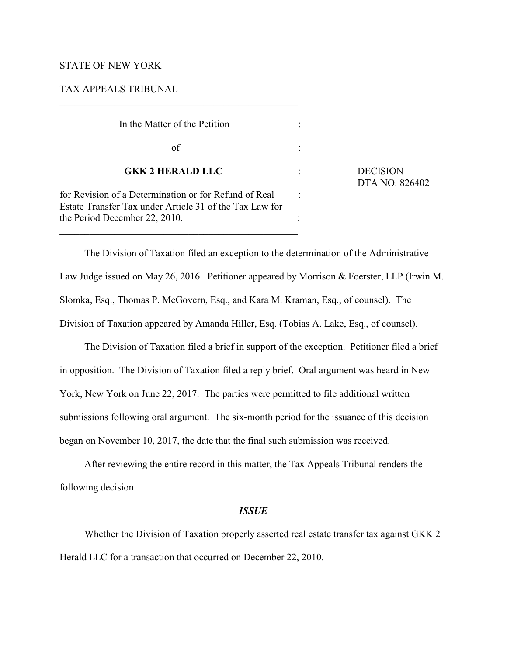## STATE OF NEW YORK

## TAX APPEALS TRIBUNAL

| In the Matter of the Petition                                                                                    |                                   |
|------------------------------------------------------------------------------------------------------------------|-----------------------------------|
| of                                                                                                               |                                   |
| <b>GKK 2 HERALD LLC</b>                                                                                          | <b>DECISION</b><br>DTA NO. 826402 |
| for Revision of a Determination or for Refund of Real<br>Estate Transfer Tax under Article 31 of the Tax Law for |                                   |
| the Period December 22, 2010.                                                                                    |                                   |

The Division of Taxation filed an exception to the determination of the Administrative Law Judge issued on May 26, 2016. Petitioner appeared by Morrison & Foerster, LLP (Irwin M. Slomka, Esq., Thomas P. McGovern, Esq., and Kara M. Kraman, Esq., of counsel). The Division of Taxation appeared by Amanda Hiller, Esq. (Tobias A. Lake, Esq., of counsel).

The Division of Taxation filed a brief in support of the exception. Petitioner filed a brief in opposition. The Division of Taxation filed a reply brief. Oral argument was heard in New York, New York on June 22, 2017. The parties were permitted to file additional written submissions following oral argument. The six-month period for the issuance of this decision began on November 10, 2017, the date that the final such submission was received.

After reviewing the entire record in this matter, the Tax Appeals Tribunal renders the following decision.

#### *ISSUE*

Whether the Division of Taxation properly asserted real estate transfer tax against GKK 2 Herald LLC for a transaction that occurred on December 22, 2010.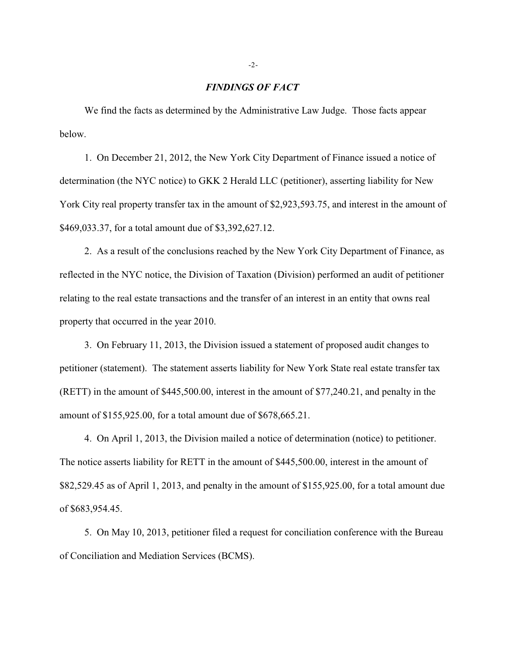## *FINDINGS OF FACT*

We find the facts as determined by the Administrative Law Judge. Those facts appear below.

1. On December 21, 2012, the New York City Department of Finance issued a notice of determination (the NYC notice) to GKK 2 Herald LLC (petitioner), asserting liability for New York City real property transfer tax in the amount of \$2,923,593.75, and interest in the amount of \$469,033.37, for a total amount due of \$3,392,627.12.

2. As a result of the conclusions reached by the New York City Department of Finance, as reflected in the NYC notice, the Division of Taxation (Division) performed an audit of petitioner relating to the real estate transactions and the transfer of an interest in an entity that owns real property that occurred in the year 2010.

3. On February 11, 2013, the Division issued a statement of proposed audit changes to petitioner (statement). The statement asserts liability for New York State real estate transfer tax (RETT) in the amount of \$445,500.00, interest in the amount of \$77,240.21, and penalty in the amount of \$155,925.00, for a total amount due of \$678,665.21.

4. On April 1, 2013, the Division mailed a notice of determination (notice) to petitioner. The notice asserts liability for RETT in the amount of \$445,500.00, interest in the amount of \$82,529.45 as of April 1, 2013, and penalty in the amount of \$155,925.00, for a total amount due of \$683,954.45.

5. On May 10, 2013, petitioner filed a request for conciliation conference with the Bureau of Conciliation and Mediation Services (BCMS).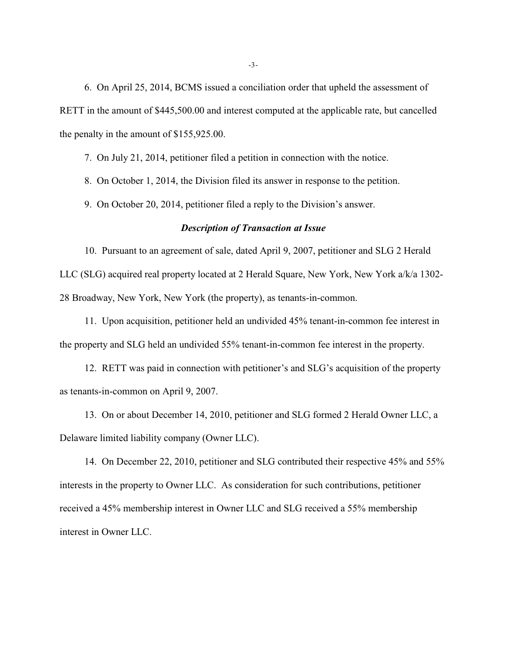6. On April 25, 2014, BCMS issued a conciliation order that upheld the assessment of RETT in the amount of \$445,500.00 and interest computed at the applicable rate, but cancelled the penalty in the amount of \$155,925.00.

7. On July 21, 2014, petitioner filed a petition in connection with the notice.

8. On October 1, 2014, the Division filed its answer in response to the petition.

9. On October 20, 2014, petitioner filed a reply to the Division's answer.

#### *Description of Transaction at Issue*

10. Pursuant to an agreement of sale, dated April 9, 2007, petitioner and SLG 2 Herald LLC (SLG) acquired real property located at 2 Herald Square, New York, New York a/k/a 1302- 28 Broadway, New York, New York (the property), as tenants-in-common.

11. Upon acquisition, petitioner held an undivided 45% tenant-in-common fee interest in the property and SLG held an undivided 55% tenant-in-common fee interest in the property.

12. RETT was paid in connection with petitioner's and SLG's acquisition of the property as tenants-in-common on April 9, 2007.

13. On or about December 14, 2010, petitioner and SLG formed 2 Herald Owner LLC, a Delaware limited liability company (Owner LLC).

14. On December 22, 2010, petitioner and SLG contributed their respective 45% and 55% interests in the property to Owner LLC. As consideration for such contributions, petitioner received a 45% membership interest in Owner LLC and SLG received a 55% membership interest in Owner LLC.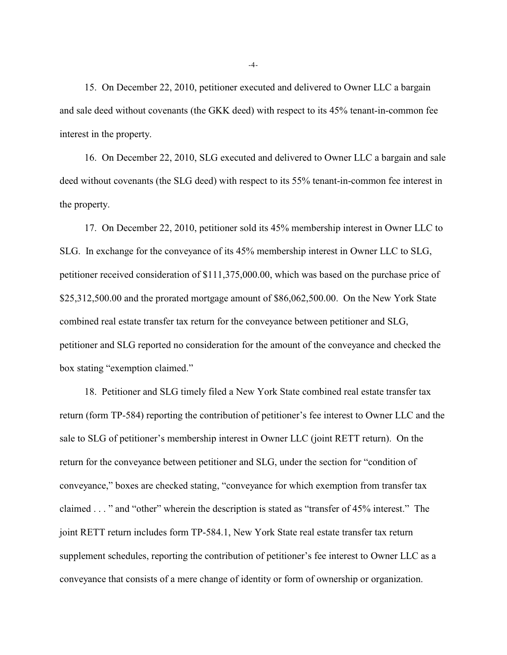15. On December 22, 2010, petitioner executed and delivered to Owner LLC a bargain and sale deed without covenants (the GKK deed) with respect to its 45% tenant-in-common fee interest in the property.

16. On December 22, 2010, SLG executed and delivered to Owner LLC a bargain and sale deed without covenants (the SLG deed) with respect to its 55% tenant-in-common fee interest in the property.

17. On December 22, 2010, petitioner sold its 45% membership interest in Owner LLC to SLG. In exchange for the conveyance of its 45% membership interest in Owner LLC to SLG, petitioner received consideration of \$111,375,000.00, which was based on the purchase price of \$25,312,500.00 and the prorated mortgage amount of \$86,062,500.00. On the New York State combined real estate transfer tax return for the conveyance between petitioner and SLG, petitioner and SLG reported no consideration for the amount of the conveyance and checked the box stating "exemption claimed."

18. Petitioner and SLG timely filed a New York State combined real estate transfer tax return (form TP-584) reporting the contribution of petitioner's fee interest to Owner LLC and the sale to SLG of petitioner's membership interest in Owner LLC (joint RETT return). On the return for the conveyance between petitioner and SLG, under the section for "condition of conveyance," boxes are checked stating, "conveyance for which exemption from transfer tax claimed . . . " and "other" wherein the description is stated as "transfer of 45% interest." The joint RETT return includes form TP-584.1, New York State real estate transfer tax return supplement schedules, reporting the contribution of petitioner's fee interest to Owner LLC as a conveyance that consists of a mere change of identity or form of ownership or organization.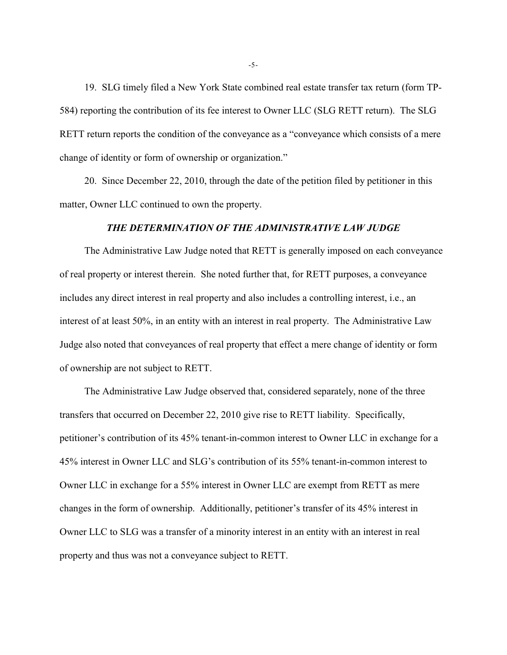19. SLG timely filed a New York State combined real estate transfer tax return (form TP-584) reporting the contribution of its fee interest to Owner LLC (SLG RETT return). The SLG RETT return reports the condition of the conveyance as a "conveyance which consists of a mere change of identity or form of ownership or organization."

20. Since December 22, 2010, through the date of the petition filed by petitioner in this matter, Owner LLC continued to own the property.

## *THE DETERMINATION OF THE ADMINISTRATIVE LAW JUDGE*

The Administrative Law Judge noted that RETT is generally imposed on each conveyance of real property or interest therein. She noted further that, for RETT purposes, a conveyance includes any direct interest in real property and also includes a controlling interest, i.e., an interest of at least 50%, in an entity with an interest in real property. The Administrative Law Judge also noted that conveyances of real property that effect a mere change of identity or form of ownership are not subject to RETT.

The Administrative Law Judge observed that, considered separately, none of the three transfers that occurred on December 22, 2010 give rise to RETT liability. Specifically, petitioner's contribution of its 45% tenant-in-common interest to Owner LLC in exchange for a 45% interest in Owner LLC and SLG's contribution of its 55% tenant-in-common interest to Owner LLC in exchange for a 55% interest in Owner LLC are exempt from RETT as mere changes in the form of ownership. Additionally, petitioner's transfer of its 45% interest in Owner LLC to SLG was a transfer of a minority interest in an entity with an interest in real property and thus was not a conveyance subject to RETT.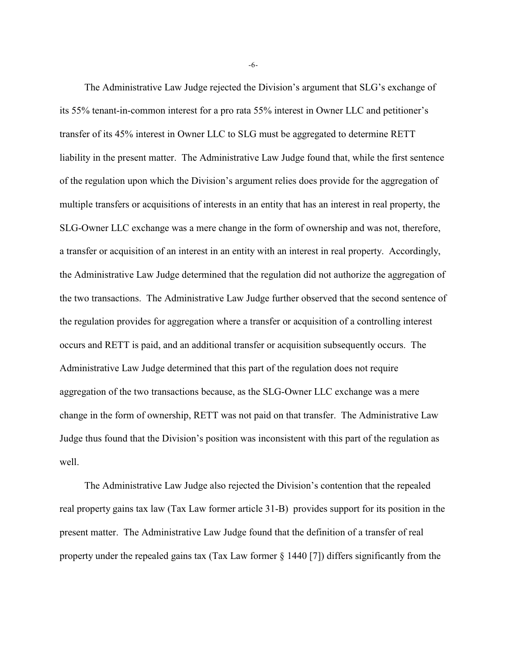The Administrative Law Judge rejected the Division's argument that SLG's exchange of its 55% tenant-in-common interest for a pro rata 55% interest in Owner LLC and petitioner's transfer of its 45% interest in Owner LLC to SLG must be aggregated to determine RETT liability in the present matter. The Administrative Law Judge found that, while the first sentence of the regulation upon which the Division's argument relies does provide for the aggregation of multiple transfers or acquisitions of interests in an entity that has an interest in real property, the SLG-Owner LLC exchange was a mere change in the form of ownership and was not, therefore, a transfer or acquisition of an interest in an entity with an interest in real property. Accordingly, the Administrative Law Judge determined that the regulation did not authorize the aggregation of the two transactions. The Administrative Law Judge further observed that the second sentence of the regulation provides for aggregation where a transfer or acquisition of a controlling interest occurs and RETT is paid, and an additional transfer or acquisition subsequently occurs. The Administrative Law Judge determined that this part of the regulation does not require aggregation of the two transactions because, as the SLG-Owner LLC exchange was a mere change in the form of ownership, RETT was not paid on that transfer. The Administrative Law Judge thus found that the Division's position was inconsistent with this part of the regulation as well.

The Administrative Law Judge also rejected the Division's contention that the repealed real property gains tax law (Tax Law former article 31-B) provides support for its position in the present matter. The Administrative Law Judge found that the definition of a transfer of real property under the repealed gains tax (Tax Law former § 1440 [7]) differs significantly from the

-6-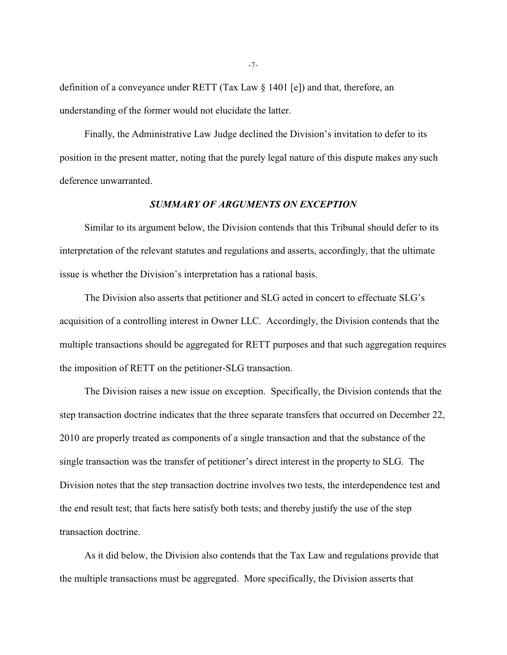definition of a conveyance under RETT (Tax Law § 1401 [e]) and that, therefore, an understanding of the former would not elucidate the latter.

Finally, the Administrative Law Judge declined the Division's invitation to defer to its position in the present matter, noting that the purely legal nature of this dispute makes any such deference unwarranted.

## *SUMMARY OF ARGUMENTS ON EXCEPTION*

Similar to its argument below, the Division contends that this Tribunal should defer to its interpretation of the relevant statutes and regulations and asserts, accordingly, that the ultimate issue is whether the Division's interpretation has a rational basis.

The Division also asserts that petitioner and SLG acted in concert to effectuate SLG's acquisition of a controlling interest in Owner LLC. Accordingly, the Division contends that the multiple transactions should be aggregated for RETT purposes and that such aggregation requires the imposition of RETT on the petitioner-SLG transaction.

The Division raises a new issue on exception. Specifically, the Division contends that the step transaction doctrine indicates that the three separate transfers that occurred on December 22, 2010 are properly treated as components of a single transaction and that the substance of the single transaction was the transfer of petitioner's direct interest in the property to SLG. The Division notes that the step transaction doctrine involves two tests, the interdependence test and the end result test; that facts here satisfy both tests; and thereby justify the use of the step transaction doctrine.

As it did below, the Division also contends that the Tax Law and regulations provide that the multiple transactions must be aggregated. More specifically, the Division asserts that

-7-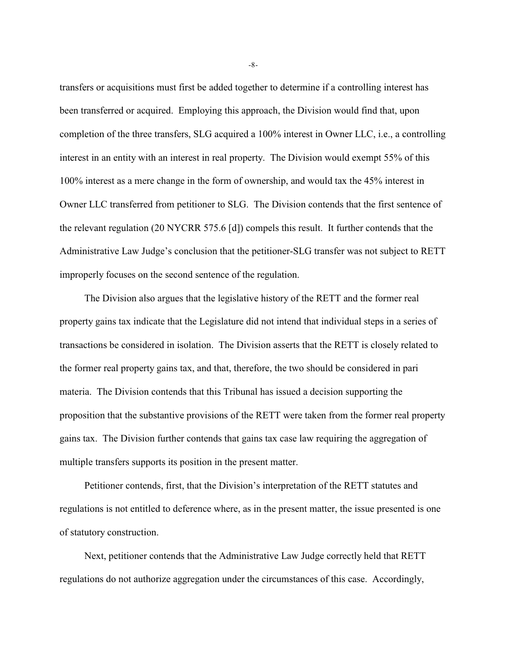transfers or acquisitions must first be added together to determine if a controlling interest has been transferred or acquired. Employing this approach, the Division would find that, upon completion of the three transfers, SLG acquired a 100% interest in Owner LLC, i.e., a controlling interest in an entity with an interest in real property. The Division would exempt 55% of this 100% interest as a mere change in the form of ownership, and would tax the 45% interest in Owner LLC transferred from petitioner to SLG. The Division contends that the first sentence of the relevant regulation (20 NYCRR 575.6 [d]) compels this result. It further contends that the Administrative Law Judge's conclusion that the petitioner-SLG transfer was not subject to RETT improperly focuses on the second sentence of the regulation.

The Division also argues that the legislative history of the RETT and the former real property gains tax indicate that the Legislature did not intend that individual steps in a series of transactions be considered in isolation. The Division asserts that the RETT is closely related to the former real property gains tax, and that, therefore, the two should be considered in pari materia. The Division contends that this Tribunal has issued a decision supporting the proposition that the substantive provisions of the RETT were taken from the former real property gains tax. The Division further contends that gains tax case law requiring the aggregation of multiple transfers supports its position in the present matter.

Petitioner contends, first, that the Division's interpretation of the RETT statutes and regulations is not entitled to deference where, as in the present matter, the issue presented is one of statutory construction.

Next, petitioner contends that the Administrative Law Judge correctly held that RETT regulations do not authorize aggregation under the circumstances of this case. Accordingly,

-8-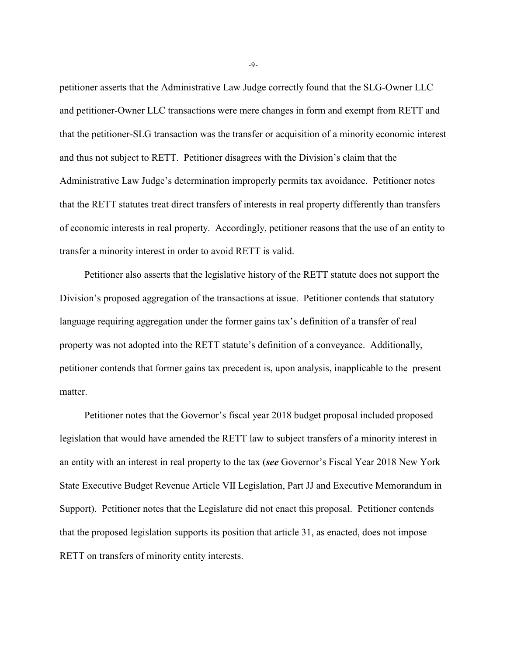petitioner asserts that the Administrative Law Judge correctly found that the SLG-Owner LLC and petitioner-Owner LLC transactions were mere changes in form and exempt from RETT and that the petitioner-SLG transaction was the transfer or acquisition of a minority economic interest and thus not subject to RETT. Petitioner disagrees with the Division's claim that the Administrative Law Judge's determination improperly permits tax avoidance. Petitioner notes that the RETT statutes treat direct transfers of interests in real property differently than transfers of economic interests in real property. Accordingly, petitioner reasons that the use of an entity to transfer a minority interest in order to avoid RETT is valid.

Petitioner also asserts that the legislative history of the RETT statute does not support the Division's proposed aggregation of the transactions at issue. Petitioner contends that statutory language requiring aggregation under the former gains tax's definition of a transfer of real property was not adopted into the RETT statute's definition of a conveyance. Additionally, petitioner contends that former gains tax precedent is, upon analysis, inapplicable to the present matter.

Petitioner notes that the Governor's fiscal year 2018 budget proposal included proposed legislation that would have amended the RETT law to subject transfers of a minority interest in an entity with an interest in real property to the tax (*see* Governor's Fiscal Year 2018 New York State Executive Budget Revenue Article VII Legislation, Part JJ and Executive Memorandum in Support). Petitioner notes that the Legislature did not enact this proposal. Petitioner contends that the proposed legislation supports its position that article 31, as enacted, does not impose RETT on transfers of minority entity interests.

-9-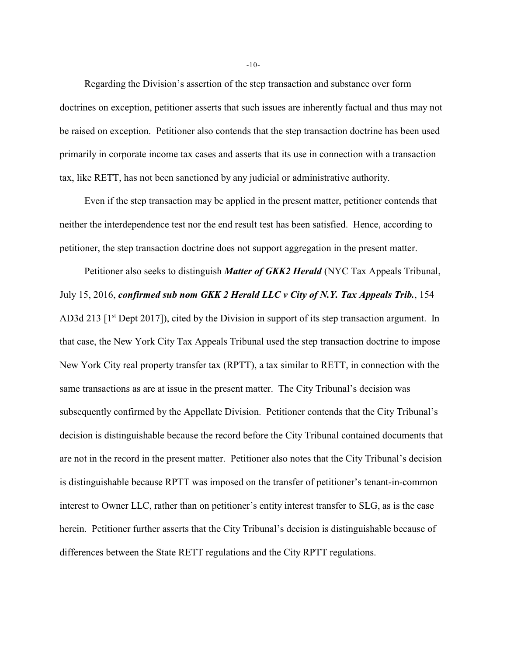Regarding the Division's assertion of the step transaction and substance over form doctrines on exception, petitioner asserts that such issues are inherently factual and thus may not be raised on exception. Petitioner also contends that the step transaction doctrine has been used primarily in corporate income tax cases and asserts that its use in connection with a transaction tax, like RETT, has not been sanctioned by any judicial or administrative authority.

Even if the step transaction may be applied in the present matter, petitioner contends that neither the interdependence test nor the end result test has been satisfied. Hence, according to petitioner, the step transaction doctrine does not support aggregation in the present matter.

Petitioner also seeks to distinguish *Matter of GKK2 Herald* (NYC Tax Appeals Tribunal, July 15, 2016, *confirmed sub nom GKK 2 Herald LLC v City of N.Y. Tax Appeals Trib.*, 154 AD3d 213 [1<sup>st</sup> Dept 2017]), cited by the Division in support of its step transaction argument. In that case, the New York City Tax Appeals Tribunal used the step transaction doctrine to impose New York City real property transfer tax (RPTT), a tax similar to RETT, in connection with the same transactions as are at issue in the present matter. The City Tribunal's decision was subsequently confirmed by the Appellate Division. Petitioner contends that the City Tribunal's decision is distinguishable because the record before the City Tribunal contained documents that are not in the record in the present matter. Petitioner also notes that the City Tribunal's decision is distinguishable because RPTT was imposed on the transfer of petitioner's tenant-in-common interest to Owner LLC, rather than on petitioner's entity interest transfer to SLG, as is the case herein. Petitioner further asserts that the City Tribunal's decision is distinguishable because of differences between the State RETT regulations and the City RPTT regulations.

-10-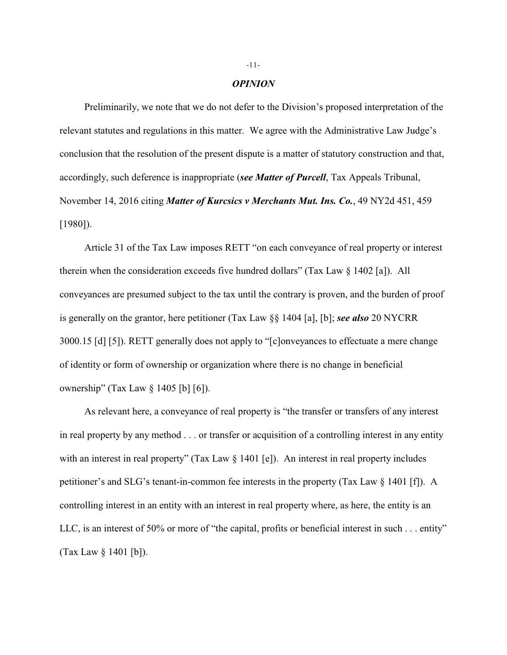#### *OPINION*

Preliminarily, we note that we do not defer to the Division's proposed interpretation of the relevant statutes and regulations in this matter. We agree with the Administrative Law Judge's conclusion that the resolution of the present dispute is a matter of statutory construction and that, accordingly, such deference is inappropriate (*see Matter of Purcell*, Tax Appeals Tribunal, November 14, 2016 citing *Matter of Kurcsics v Merchants Mut. Ins. Co.*, 49 NY2d 451, 459 [1980]).

Article 31 of the Tax Law imposes RETT "on each conveyance of real property or interest therein when the consideration exceeds five hundred dollars" (Tax Law § 1402 [a]). All conveyances are presumed subject to the tax until the contrary is proven, and the burden of proof is generally on the grantor, here petitioner (Tax Law §§ 1404 [a], [b]; *see also* 20 NYCRR 3000.15 [d] [5]). RETT generally does not apply to "[c]onveyances to effectuate a mere change of identity or form of ownership or organization where there is no change in beneficial ownership" (Tax Law § 1405 [b] [6]).

As relevant here, a conveyance of real property is "the transfer or transfers of any interest in real property by any method . . . or transfer or acquisition of a controlling interest in any entity with an interest in real property" (Tax Law § 1401 [e]). An interest in real property includes petitioner's and SLG's tenant-in-common fee interests in the property (Tax Law § 1401 [f]). A controlling interest in an entity with an interest in real property where, as here, the entity is an LLC, is an interest of 50% or more of "the capital, profits or beneficial interest in such . . . entity" (Tax Law § 1401 [b]).

#### -11-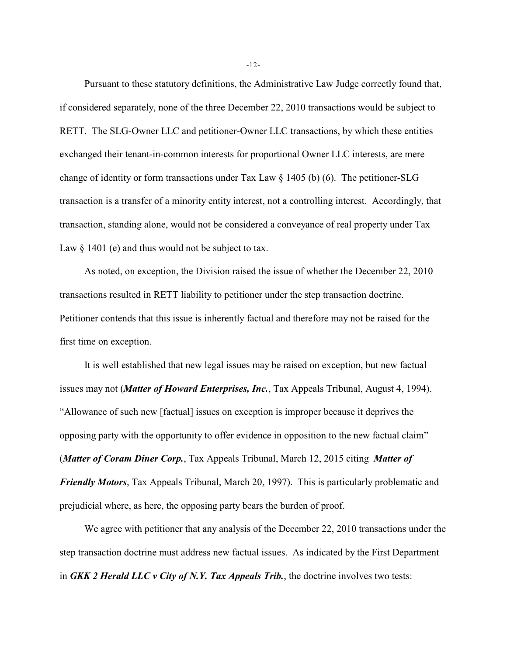Pursuant to these statutory definitions, the Administrative Law Judge correctly found that, if considered separately, none of the three December 22, 2010 transactions would be subject to RETT. The SLG-Owner LLC and petitioner-Owner LLC transactions, by which these entities exchanged their tenant-in-common interests for proportional Owner LLC interests, are mere change of identity or form transactions under Tax Law § 1405 (b) (6). The petitioner-SLG transaction is a transfer of a minority entity interest, not a controlling interest. Accordingly, that transaction, standing alone, would not be considered a conveyance of real property under Tax Law  $\S$  1401 (e) and thus would not be subject to tax.

As noted, on exception, the Division raised the issue of whether the December 22, 2010 transactions resulted in RETT liability to petitioner under the step transaction doctrine. Petitioner contends that this issue is inherently factual and therefore may not be raised for the first time on exception.

It is well established that new legal issues may be raised on exception, but new factual issues may not (*Matter of Howard Enterprises, Inc.*, Tax Appeals Tribunal, August 4, 1994). "Allowance of such new [factual] issues on exception is improper because it deprives the opposing party with the opportunity to offer evidence in opposition to the new factual claim" (*Matter of Coram Diner Corp.*, Tax Appeals Tribunal, March 12, 2015 citing *Matter of Friendly Motors*, Tax Appeals Tribunal, March 20, 1997). This is particularly problematic and prejudicial where, as here, the opposing party bears the burden of proof.

We agree with petitioner that any analysis of the December 22, 2010 transactions under the step transaction doctrine must address new factual issues. As indicated by the First Department in *GKK 2 Herald LLC v City of N.Y. Tax Appeals Trib.*, the doctrine involves two tests:

-12-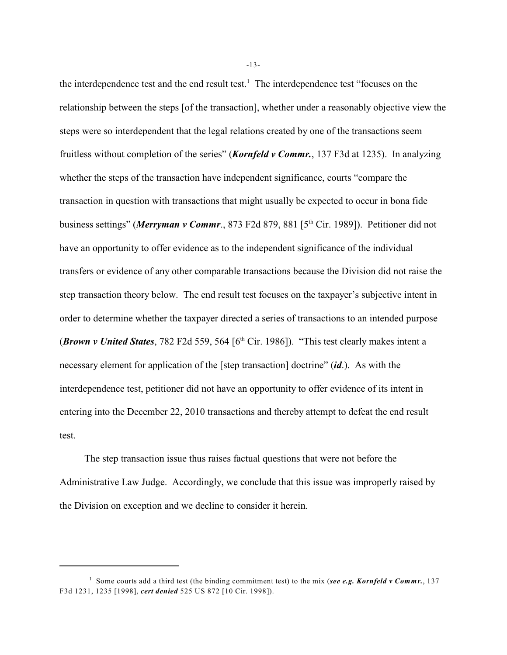the interdependence test and the end result test.<sup>1</sup> The interdependence test "focuses on the relationship between the steps [of the transaction], whether under a reasonably objective view the steps were so interdependent that the legal relations created by one of the transactions seem fruitless without completion of the series" (*Kornfeld v Commr.*, 137 F3d at 1235). In analyzing whether the steps of the transaction have independent significance, courts "compare the transaction in question with transactions that might usually be expected to occur in bona fide business settings" (*Merryman v Commr.*, 873 F2d 879, 881 [5<sup>th</sup> Cir. 1989]). Petitioner did not have an opportunity to offer evidence as to the independent significance of the individual transfers or evidence of any other comparable transactions because the Division did not raise the step transaction theory below. The end result test focuses on the taxpayer's subjective intent in order to determine whether the taxpayer directed a series of transactions to an intended purpose (*Brown v United States*, 782 F2d 559, 564  $[6<sup>th</sup> Cir. 1986]$ ). "This test clearly makes intent a necessary element for application of the [step transaction] doctrine" (*id*.). As with the interdependence test, petitioner did not have an opportunity to offer evidence of its intent in entering into the December 22, 2010 transactions and thereby attempt to defeat the end result test.

The step transaction issue thus raises factual questions that were not before the Administrative Law Judge. Accordingly, we conclude that this issue was improperly raised by the Division on exception and we decline to consider it herein.

-13-

<sup>&</sup>lt;sup>1</sup> Some courts add a third test (the binding commitment test) to the mix (*see e.g. Kornfeld v Commr.*, 137 F3d 1231, 1235 [1998], *cert denied* 525 US 872 [10 Cir. 1998]).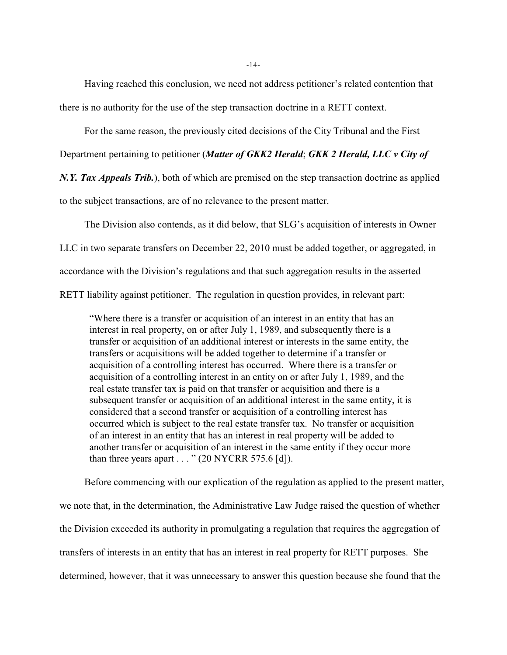-14-

Having reached this conclusion, we need not address petitioner's related contention that there is no authority for the use of the step transaction doctrine in a RETT context.

For the same reason, the previously cited decisions of the City Tribunal and the First

Department pertaining to petitioner (*Matter of GKK2 Herald*; *GKK 2 Herald, LLC v City of*

*N.Y. Tax Appeals Trib.*), both of which are premised on the step transaction doctrine as applied

to the subject transactions, are of no relevance to the present matter.

The Division also contends, as it did below, that SLG's acquisition of interests in Owner LLC in two separate transfers on December 22, 2010 must be added together, or aggregated, in accordance with the Division's regulations and that such aggregation results in the asserted RETT liability against petitioner. The regulation in question provides, in relevant part:

"Where there is a transfer or acquisition of an interest in an entity that has an interest in real property, on or after July 1, 1989, and subsequently there is a transfer or acquisition of an additional interest or interests in the same entity, the transfers or acquisitions will be added together to determine if a transfer or acquisition of a controlling interest has occurred. Where there is a transfer or acquisition of a controlling interest in an entity on or after July 1, 1989, and the real estate transfer tax is paid on that transfer or acquisition and there is a subsequent transfer or acquisition of an additional interest in the same entity, it is considered that a second transfer or acquisition of a controlling interest has occurred which is subject to the real estate transfer tax. No transfer or acquisition of an interest in an entity that has an interest in real property will be added to another transfer or acquisition of an interest in the same entity if they occur more than three years apart  $\dots$  " (20 NYCRR 575.6 [d]).

Before commencing with our explication of the regulation as applied to the present matter, we note that, in the determination, the Administrative Law Judge raised the question of whether the Division exceeded its authority in promulgating a regulation that requires the aggregation of transfers of interests in an entity that has an interest in real property for RETT purposes. She determined, however, that it was unnecessary to answer this question because she found that the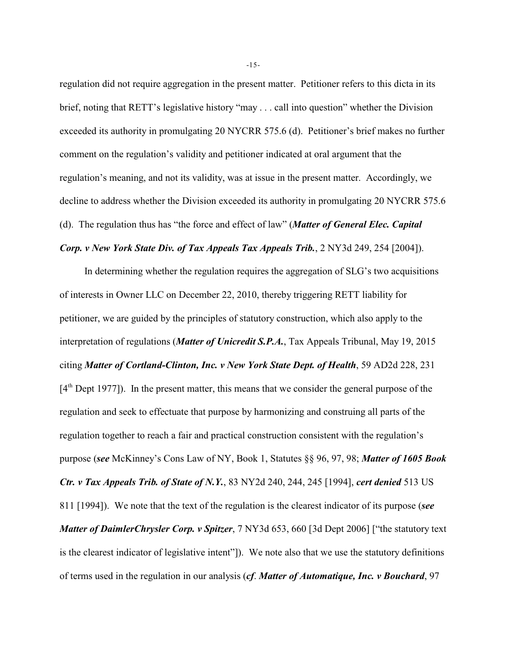regulation did not require aggregation in the present matter. Petitioner refers to this dicta in its brief, noting that RETT's legislative history "may . . . call into question" whether the Division exceeded its authority in promulgating 20 NYCRR 575.6 (d). Petitioner's brief makes no further comment on the regulation's validity and petitioner indicated at oral argument that the regulation's meaning, and not its validity, was at issue in the present matter. Accordingly, we decline to address whether the Division exceeded its authority in promulgating 20 NYCRR 575.6 (d). The regulation thus has "the force and effect of law" (*Matter of General Elec. Capital*

# *Corp. v New York State Div. of Tax Appeals Tax Appeals Trib.*, 2 NY3d 249, 254 [2004]).

In determining whether the regulation requires the aggregation of SLG's two acquisitions of interests in Owner LLC on December 22, 2010, thereby triggering RETT liability for petitioner, we are guided by the principles of statutory construction, which also apply to the interpretation of regulations (*Matter of Unicredit S.P.A.*, Tax Appeals Tribunal, May 19, 2015 citing *Matter of Cortland-Clinton, Inc. v New York State Dept. of Health*, 59 AD2d 228, 231  $[4<sup>th</sup>$  Dept 1977]). In the present matter, this means that we consider the general purpose of the regulation and seek to effectuate that purpose by harmonizing and construing all parts of the regulation together to reach a fair and practical construction consistent with the regulation's purpose (*see* McKinney's Cons Law of NY, Book 1, Statutes §§ 96, 97, 98; *Matter of 1605 Book Ctr. v Tax Appeals Trib. of State of N.Y.*, 83 NY2d 240, 244, 245 [1994], *cert denied* 513 US 811 [1994]). We note that the text of the regulation is the clearest indicator of its purpose (*see Matter of DaimlerChrysler Corp. v Spitzer*, 7 NY3d 653, 660 [3d Dept 2006] ["the statutory text is the clearest indicator of legislative intent"]). We note also that we use the statutory definitions of terms used in the regulation in our analysis (*cf*. *Matter of Automatique, Inc. v Bouchard*, 97

-15-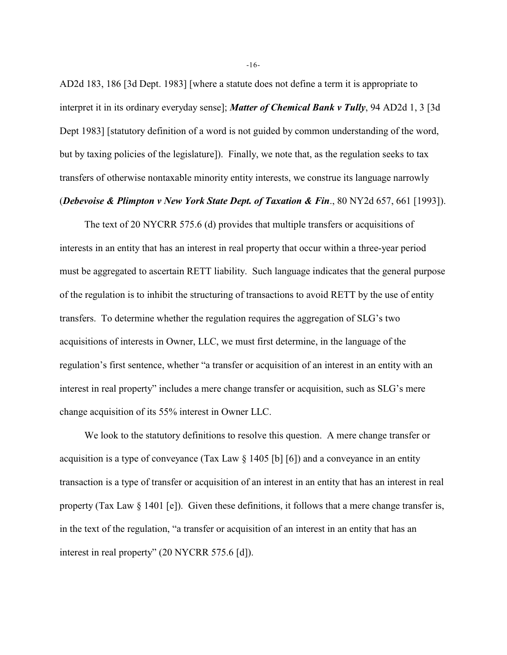AD2d 183, 186 [3d Dept. 1983] [where a statute does not define a term it is appropriate to interpret it in its ordinary everyday sense]; *Matter of Chemical Bank v Tully*, 94 AD2d 1, 3 [3d Dept 1983] [statutory definition of a word is not guided by common understanding of the word, but by taxing policies of the legislature]). Finally, we note that, as the regulation seeks to tax transfers of otherwise nontaxable minority entity interests, we construe its language narrowly

#### (*Debevoise & Plimpton v New York State Dept. of Taxation & Fin*., 80 NY2d 657, 661 [1993]).

The text of 20 NYCRR 575.6 (d) provides that multiple transfers or acquisitions of interests in an entity that has an interest in real property that occur within a three-year period must be aggregated to ascertain RETT liability. Such language indicates that the general purpose of the regulation is to inhibit the structuring of transactions to avoid RETT by the use of entity transfers. To determine whether the regulation requires the aggregation of SLG's two acquisitions of interests in Owner, LLC, we must first determine, in the language of the regulation's first sentence, whether "a transfer or acquisition of an interest in an entity with an interest in real property" includes a mere change transfer or acquisition, such as SLG's mere change acquisition of its 55% interest in Owner LLC.

We look to the statutory definitions to resolve this question. A mere change transfer or acquisition is a type of conveyance (Tax Law § 1405 [b] [6]) and a conveyance in an entity transaction is a type of transfer or acquisition of an interest in an entity that has an interest in real property (Tax Law § 1401 [e]). Given these definitions, it follows that a mere change transfer is, in the text of the regulation, "a transfer or acquisition of an interest in an entity that has an interest in real property" (20 NYCRR 575.6 [d]).

-16-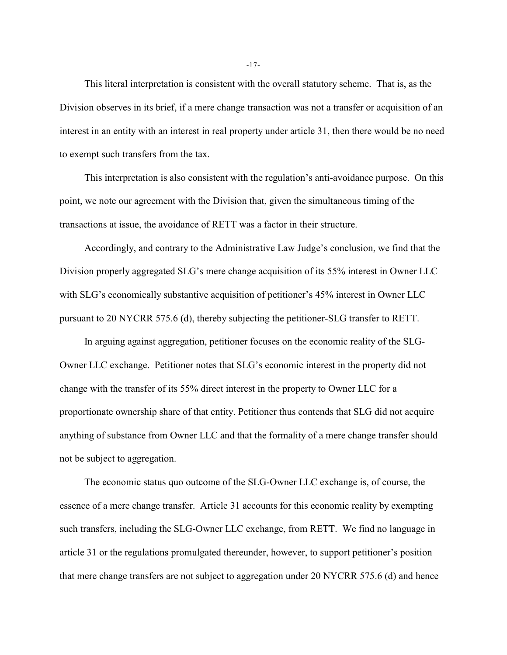This literal interpretation is consistent with the overall statutory scheme. That is, as the Division observes in its brief, if a mere change transaction was not a transfer or acquisition of an interest in an entity with an interest in real property under article 31, then there would be no need to exempt such transfers from the tax.

This interpretation is also consistent with the regulation's anti-avoidance purpose. On this point, we note our agreement with the Division that, given the simultaneous timing of the transactions at issue, the avoidance of RETT was a factor in their structure.

Accordingly, and contrary to the Administrative Law Judge's conclusion, we find that the Division properly aggregated SLG's mere change acquisition of its 55% interest in Owner LLC with SLG's economically substantive acquisition of petitioner's 45% interest in Owner LLC pursuant to 20 NYCRR 575.6 (d), thereby subjecting the petitioner-SLG transfer to RETT.

In arguing against aggregation, petitioner focuses on the economic reality of the SLG-Owner LLC exchange. Petitioner notes that SLG's economic interest in the property did not change with the transfer of its 55% direct interest in the property to Owner LLC for a proportionate ownership share of that entity. Petitioner thus contends that SLG did not acquire anything of substance from Owner LLC and that the formality of a mere change transfer should not be subject to aggregation.

The economic status quo outcome of the SLG-Owner LLC exchange is, of course, the essence of a mere change transfer. Article 31 accounts for this economic reality by exempting such transfers, including the SLG-Owner LLC exchange, from RETT. We find no language in article 31 or the regulations promulgated thereunder, however, to support petitioner's position that mere change transfers are not subject to aggregation under 20 NYCRR 575.6 (d) and hence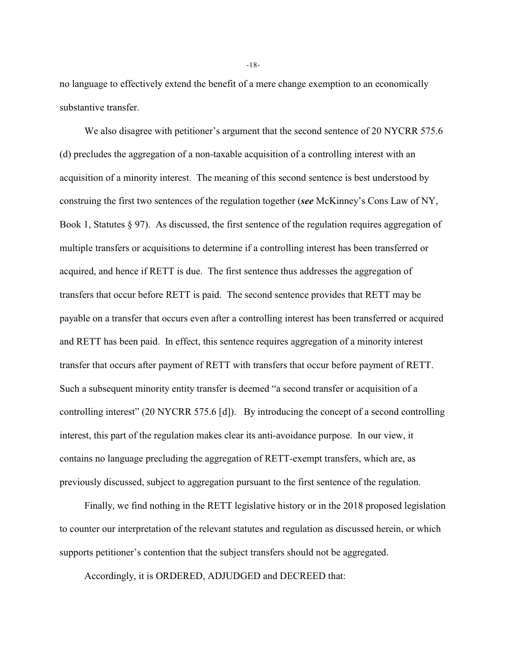no language to effectively extend the benefit of a mere change exemption to an economically substantive transfer.

We also disagree with petitioner's argument that the second sentence of 20 NYCRR 575.6 (d) precludes the aggregation of a non-taxable acquisition of a controlling interest with an acquisition of a minority interest. The meaning of this second sentence is best understood by construing the first two sentences of the regulation together (*see* McKinney's Cons Law of NY, Book 1, Statutes  $\S 97$ . As discussed, the first sentence of the regulation requires aggregation of multiple transfers or acquisitions to determine if a controlling interest has been transferred or acquired, and hence if RETT is due. The first sentence thus addresses the aggregation of transfers that occur before RETT is paid. The second sentence provides that RETT may be payable on a transfer that occurs even after a controlling interest has been transferred or acquired and RETT has been paid. In effect, this sentence requires aggregation of a minority interest transfer that occurs after payment of RETT with transfers that occur before payment of RETT. Such a subsequent minority entity transfer is deemed "a second transfer or acquisition of a controlling interest" (20 NYCRR 575.6 [d]). By introducing the concept of a second controlling interest, this part of the regulation makes clear its anti-avoidance purpose. In our view, it contains no language precluding the aggregation of RETT-exempt transfers, which are, as previously discussed, subject to aggregation pursuant to the first sentence of the regulation.

Finally, we find nothing in the RETT legislative history or in the 2018 proposed legislation to counter our interpretation of the relevant statutes and regulation as discussed herein, or which supports petitioner's contention that the subject transfers should not be aggregated.

Accordingly, it is ORDERED, ADJUDGED and DECREED that:

-18-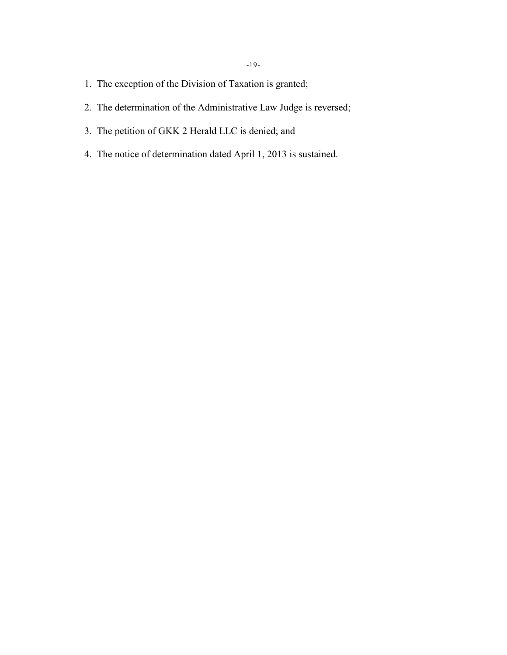- 1. The exception of the Division of Taxation is granted;
- 2. The determination of the Administrative Law Judge is reversed;
- 3. The petition of GKK 2 Herald LLC is denied; and
- 4. The notice of determination dated April 1, 2013 is sustained.